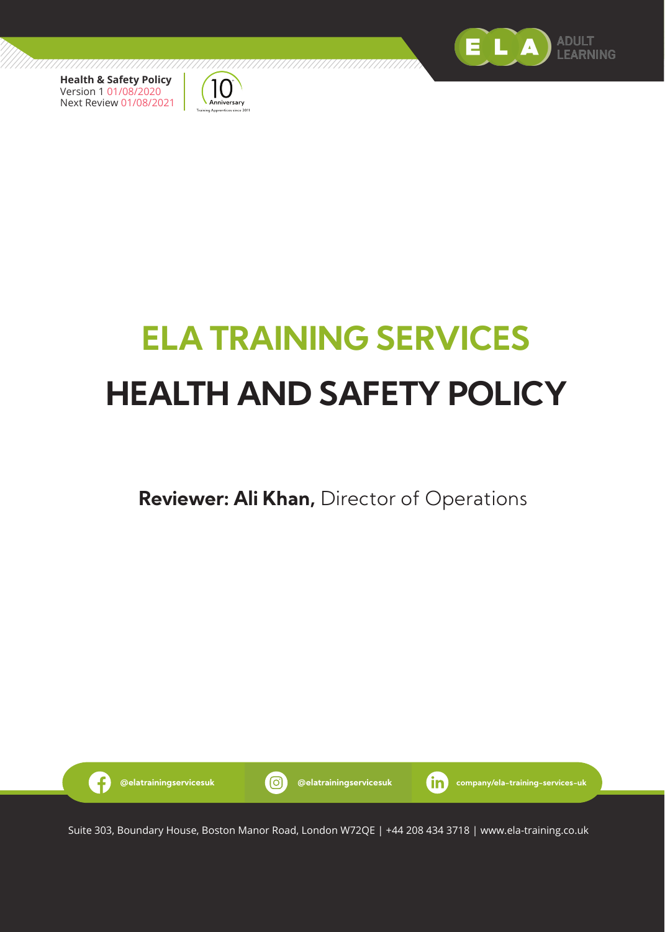



# **ELA TRAINING SERVICES HEALTH AND SAFETY POLICY**

# **Reviewer: Ali Khan,** Director of Operations



Suite 303, Boundary House, Boston Manor Road, London W72QE | +44 208 434 3718 | www.ela-training.co.uk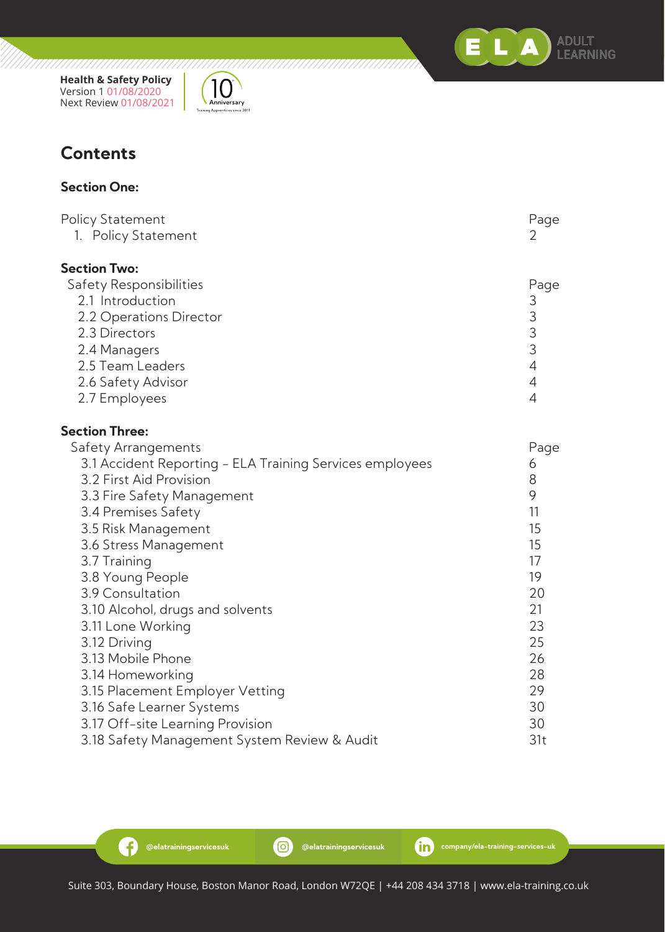



#### **Section One:**

| Policy Statement                                         | Page                                       |
|----------------------------------------------------------|--------------------------------------------|
| 1. Policy Statement                                      | 2                                          |
| <b>Section Two:</b>                                      |                                            |
| Safety Responsibilities                                  | Page                                       |
| 2.1 Introduction                                         |                                            |
| 2.2 Operations Director                                  |                                            |
| 2.3 Directors                                            | $\begin{array}{c} 3 \\ 3 \\ 3 \end{array}$ |
| 2.4 Managers                                             |                                            |
| 2.5 Team Leaders                                         | $\overline{4}$                             |
| 2.6 Safety Advisor                                       | $\overline{4}$                             |
| 2.7 Employees                                            | 4                                          |
| <b>Section Three:</b>                                    |                                            |
| Safety Arrangements                                      | Page                                       |
| 3.1 Accident Reporting - ELA Training Services employees | 6                                          |
| 3.2 First Aid Provision                                  | 8                                          |
| 3.3 Fire Safety Management                               | 9                                          |
| 3.4 Premises Safety                                      | 11                                         |
| 3.5 Risk Management                                      | 15                                         |
| 3.6 Stress Management                                    | 15                                         |
| 3.7 Training                                             | 17                                         |
| 3.8 Young People                                         | 19                                         |
| 3.9 Consultation                                         | 20                                         |
| 3.10 Alcohol, drugs and solvents                         | 21                                         |
| 3.11 Lone Working                                        | 23                                         |
| 3.12 Driving                                             | 25                                         |
| 3.13 Mobile Phone                                        | 26                                         |
| 3.14 Homeworking                                         | 28                                         |
| 3.15 Placement Employer Vetting                          | 29                                         |
| 3.16 Safe Learner Systems                                | 30                                         |
| 3.17 Off-site Learning Provision                         | 30                                         |
| 3.18 Safety Management System Review & Audit             | 31t                                        |

G

ELA

**ADULT** LEARNING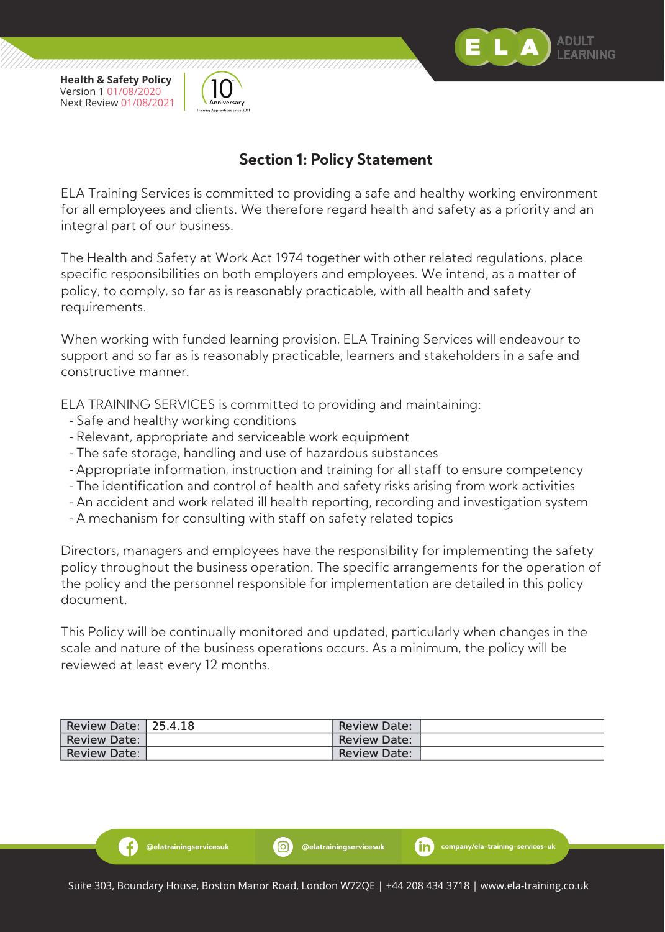



## **Section 1: Policy Statement**

ELA Training Services is committed to providing a safe and healthy working environment for all employees and clients. We therefore regard health and safety as a priority and an integral part of our business.

The Health and Safety at Work Act 1974 together with other related regulations, place specific responsibilities on both employers and employees. We intend, as a matter of policy, to comply, so far as is reasonably practicable, with all health and safety requirements.

When working with funded learning provision, ELA Training Services will endeavour to support and so far as is reasonably practicable, learners and stakeholders in a safe and constructive manner.

ELA TRAINING SERVICES is committed to providing and maintaining:

- Safe and healthy working conditions

Ð

- Relevant, appropriate and serviceable work equipment
- The safe storage, handling and use of hazardous substances
- Appropriate information, instruction and training for all staff to ensure competency
- The identification and control of health and safety risks arising from work activities
- An accident and work related ill health reporting, recording and investigation system
- A mechanism for consulting with staff on safety related topics

Directors, managers and employees have the responsibility for implementing the safety policy throughout the business operation. The specific arrangements for the operation of the policy and the personnel responsible for implementation are detailed in this policy document.

This Policy will be continually monitored and updated, particularly when changes in the scale and nature of the business operations occurs. As a minimum, the policy will be reviewed at least every 12 months.

| Review Date: 25.4.18 | <b>Review Date:</b> |  |
|----------------------|---------------------|--|
| Review Date:         | <b>Review Date:</b> |  |
| Review Date:         | <b>Review Date:</b> |  |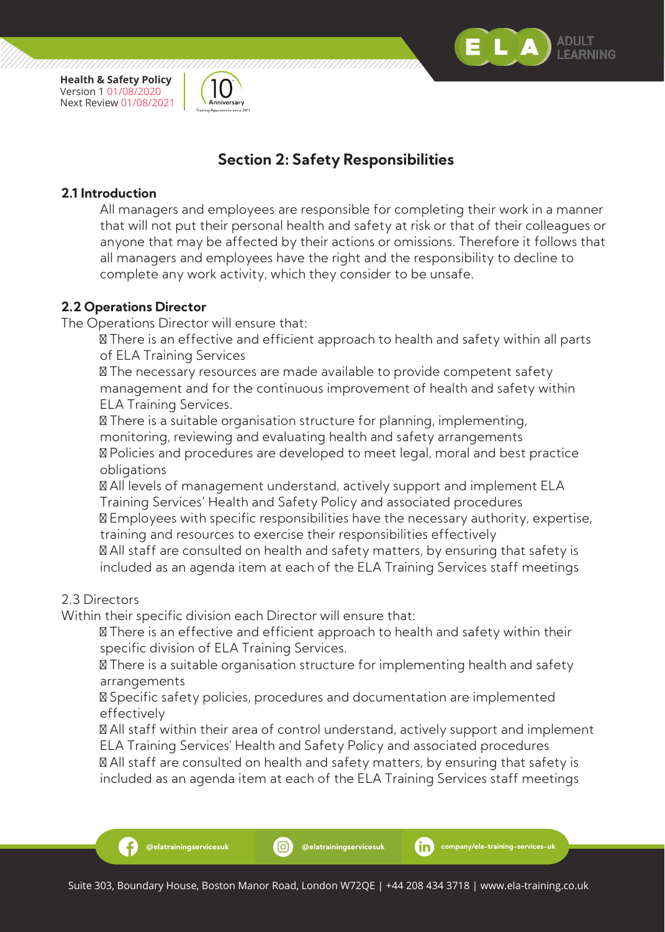



## **Section 2: Safety Responsibilities**

#### **2.1 Introduction**

 All managers and employees are responsible for completing their work in a manner that will not put their personal health and safety at risk or that of their colleagues or anyone that may be affected by their actions or omissions. Therefore it follows that all managers and employees have the right and the responsibility to decline to complete any work activity, which they consider to be unsafe.

#### **2.2 Operations Director**

The Operations Director will ensure that:

 There is an effective and efficient approach to health and safety within all parts of ELA Training Services

 The necessary resources are made available to provide competent safety management and for the continuous improvement of health and safety within ELA Training Services.

 There is a suitable organisation structure for planning, implementing, monitoring, reviewing and evaluating health and safety arrangements

 Policies and procedures are developed to meet legal, moral and best practice obligations

 All levels of management understand, actively support and implement ELA Training Services' Health and Safety Policy and associated procedures

 Employees with specific responsibilities have the necessary authority, expertise, training and resources to exercise their responsibilities effectively

 All staff are consulted on health and safety matters, by ensuring that safety is included as an agenda item at each of the ELA Training Services staff meetings

#### 2.3 Directors

Within their specific division each Director will ensure that:

 There is an effective and efficient approach to health and safety within their specific division of ELA Training Services.

 There is a suitable organisation structure for implementing health and safety arrangements

 Specific safety policies, procedures and documentation are implemented effectively

 All staff within their area of control understand, actively support and implement ELA Training Services' Health and Safety Policy and associated procedures

 All staff are consulted on health and safety matters, by ensuring that safety is included as an agenda item at each of the ELA Training Services staff meetings

Æ.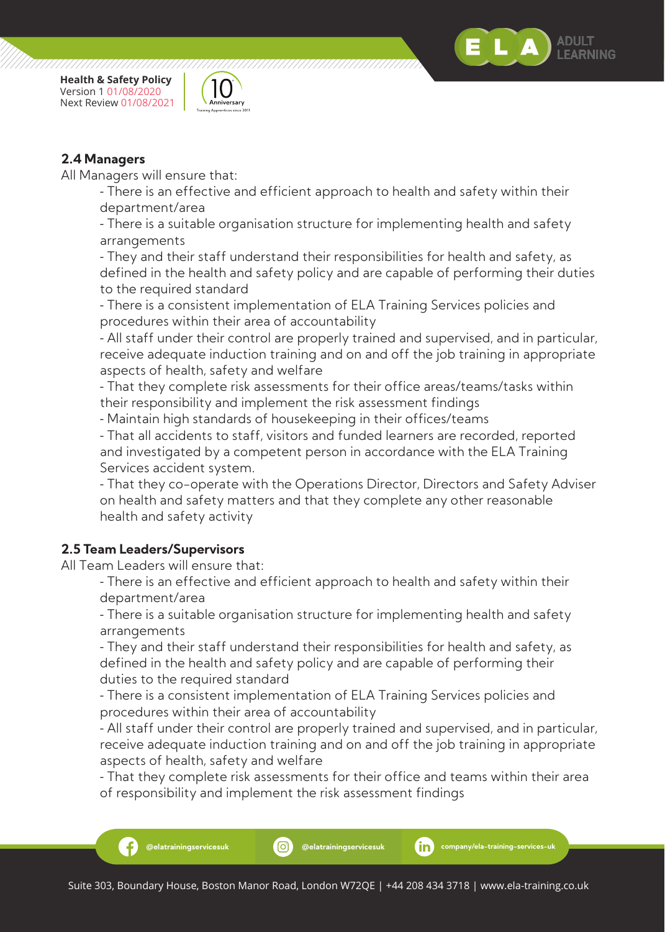



All Managers will ensure that:

- There is an effective and efficient approach to health and safety within their department/area

 - There is a suitable organisation structure for implementing health and safety arrangements

 - They and their staff understand their responsibilities for health and safety, as defined in the health and safety policy and are capable of performing their duties to the required standard

 - There is a consistent implementation of ELA Training Services policies and procedures within their area of accountability

 - All staff under their control are properly trained and supervised, and in particular, receive adequate induction training and on and off the job training in appropriate aspects of health, safety and welfare

 - That they complete risk assessments for their office areas/teams/tasks within their responsibility and implement the risk assessment findings

- Maintain high standards of housekeeping in their offices/teams

 - That all accidents to staff, visitors and funded learners are recorded, reported and investigated by a competent person in accordance with the ELA Training Services accident system.

 - That they co-operate with the Operations Director, Directors and Safety Adviser on health and safety matters and that they complete any other reasonable health and safety activity

#### **2.5 Team Leaders/Supervisors**

All Team Leaders will ensure that:

 - There is an effective and efficient approach to health and safety within their department/area

 - There is a suitable organisation structure for implementing health and safety arrangements

 - They and their staff understand their responsibilities for health and safety, as defined in the health and safety policy and are capable of performing their duties to the required standard

 - There is a consistent implementation of ELA Training Services policies and procedures within their area of accountability

- All staff under their control are properly trained and supervised, and in particular, receive adequate induction training and on and off the job training in appropriate aspects of health, safety and welfare

 - That they complete risk assessments for their office and teams within their area of responsibility and implement the risk assessment findings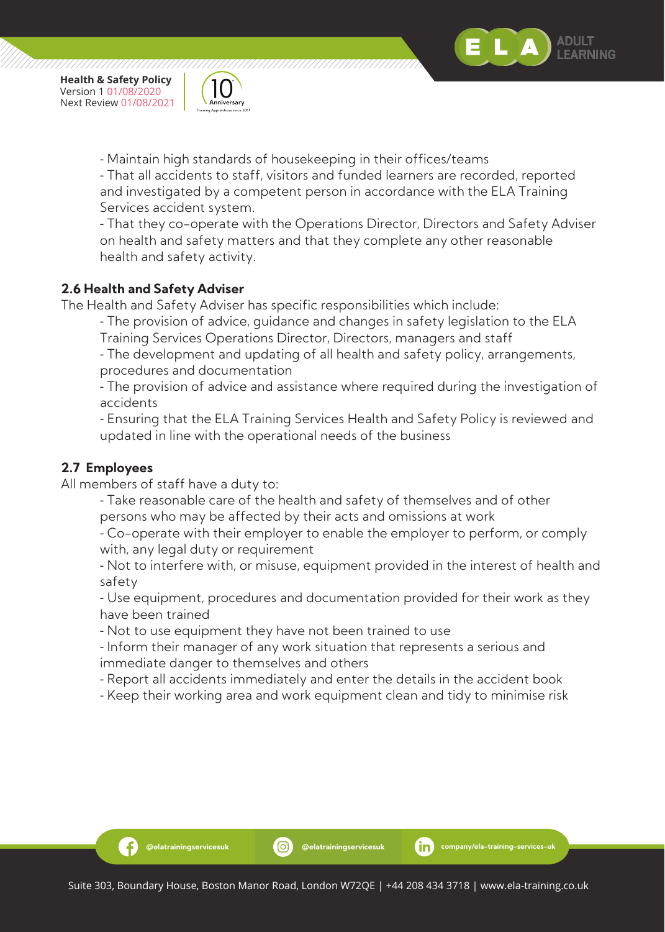

- Maintain high standards of housekeeping in their offices/teams

 - That all accidents to staff, visitors and funded learners are recorded, reported and investigated by a competent person in accordance with the ELA Training Services accident system.

 - That they co-operate with the Operations Director, Directors and Safety Adviser on health and safety matters and that they complete any other reasonable health and safety activity.

#### **2.6 Health and Safety Adviser**

The Health and Safety Adviser has specific responsibilities which include:

- The provision of advice, guidance and changes in safety legislation to the ELA

Training Services Operations Director, Directors, managers and staff

 - The development and updating of all health and safety policy, arrangements, procedures and documentation

 - The provision of advice and assistance where required during the investigation of accidents

 - Ensuring that the ELA Training Services Health and Safety Policy is reviewed and updated in line with the operational needs of the business

#### **2.7 Employees**

Ð

All members of staff have a duty to:

 - Take reasonable care of the health and safety of themselves and of other persons who may be affected by their acts and omissions at work

 - Co-operate with their employer to enable the employer to perform, or comply with, any legal duty or requirement

 - Not to interfere with, or misuse, equipment provided in the interest of health and safety

 - Use equipment, procedures and documentation provided for their work as they have been trained

- Not to use equipment they have not been trained to use

 - Inform their manager of any work situation that represents a serious and immediate danger to themselves and others

- Report all accidents immediately and enter the details in the accident book
- Keep their working area and work equipment clean and tidy to minimise risk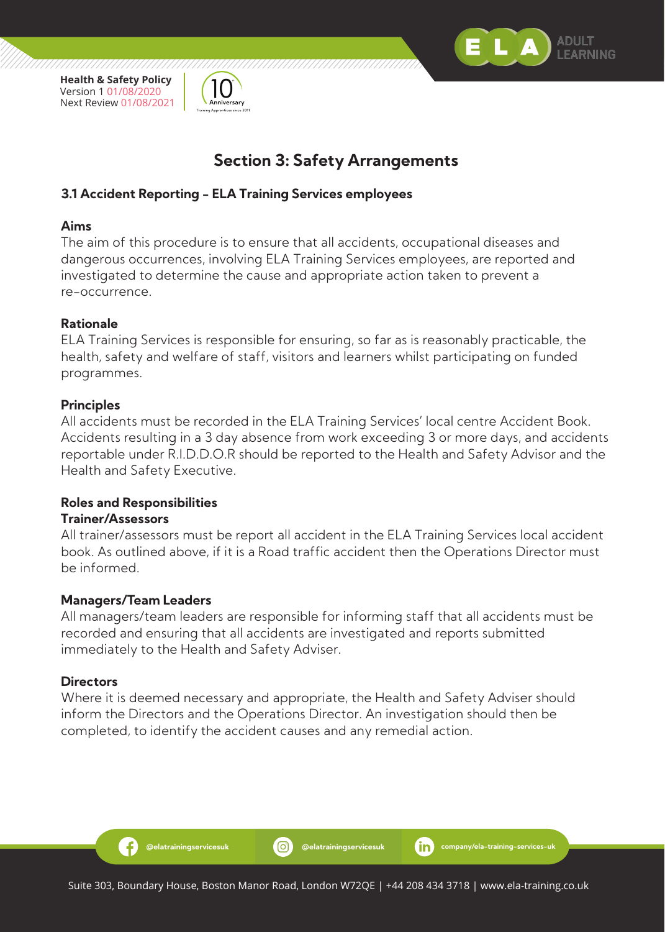



## **Section 3: Safety Arrangements**

#### **3.1 Accident Reporting - ELA Training Services employees**

#### **Aims**

The aim of this procedure is to ensure that all accidents, occupational diseases and dangerous occurrences, involving ELA Training Services employees, are reported and investigated to determine the cause and appropriate action taken to prevent a re-occurrence.

#### **Rationale**

ELA Training Services is responsible for ensuring, so far as is reasonably practicable, the health, safety and welfare of staff, visitors and learners whilst participating on funded programmes.

#### **Principles**

All accidents must be recorded in the ELA Training Services' local centre Accident Book. Accidents resulting in a 3 day absence from work exceeding 3 or more days, and accidents reportable under R.I.D.D.O.R should be reported to the Health and Safety Advisor and the Health and Safety Executive.

#### **Roles and Responsibilities**

#### **Trainer/Assessors**

All trainer/assessors must be report all accident in the ELA Training Services local accident book. As outlined above, if it is a Road traffic accident then the Operations Director must be informed.

#### **Managers/Team Leaders**

Ð

All managers/team leaders are responsible for informing staff that all accidents must be recorded and ensuring that all accidents are investigated and reports submitted immediately to the Health and Safety Adviser.

#### **Directors**

Where it is deemed necessary and appropriate, the Health and Safety Adviser should inform the Directors and the Operations Director. An investigation should then be completed, to identify the accident causes and any remedial action.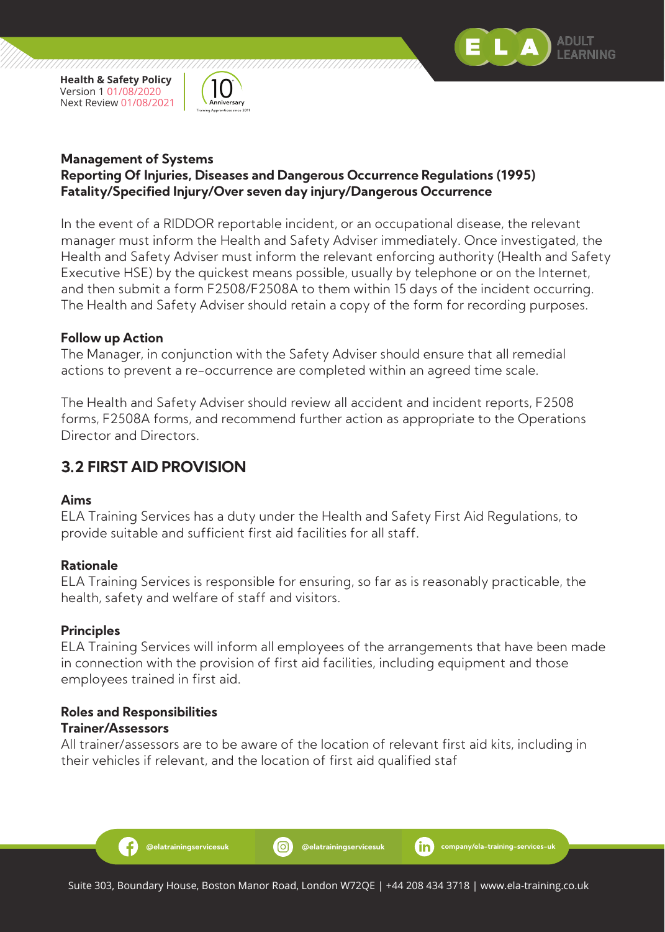



#### **Management of Systems Reporting Of Injuries, Diseases and Dangerous Occurrence Regulations (1995) Fatality/Specified Injury/Over seven day injury/Dangerous Occurrence**

In the event of a RIDDOR reportable incident, or an occupational disease, the relevant manager must inform the Health and Safety Adviser immediately. Once investigated, the Health and Safety Adviser must inform the relevant enforcing authority (Health and Safety Executive HSE) by the quickest means possible, usually by telephone or on the Internet, and then submit a form F2508/F2508A to them within 15 days of the incident occurring. The Health and Safety Adviser should retain a copy of the form for recording purposes.

#### **Follow up Action**

The Manager, in conjunction with the Safety Adviser should ensure that all remedial actions to prevent a re-occurrence are completed within an agreed time scale.

The Health and Safety Adviser should review all accident and incident reports, F2508 forms, F2508A forms, and recommend further action as appropriate to the Operations Director and Directors.

## **3.2 FIRST AID PROVISION**

#### **Aims**

ELA Training Services has a duty under the Health and Safety First Aid Regulations, to provide suitable and sufficient first aid facilities for all staff.

#### **Rationale**

ELA Training Services is responsible for ensuring, so far as is reasonably practicable, the health, safety and welfare of staff and visitors.

#### **Principles**

ELA Training Services will inform all employees of the arrangements that have been made in connection with the provision of first aid facilities, including equipment and those employees trained in first aid.

#### **Roles and Responsibilities Trainer/Assessors**

Ð

All trainer/assessors are to be aware of the location of relevant first aid kits, including in their vehicles if relevant, and the location of first aid qualified staf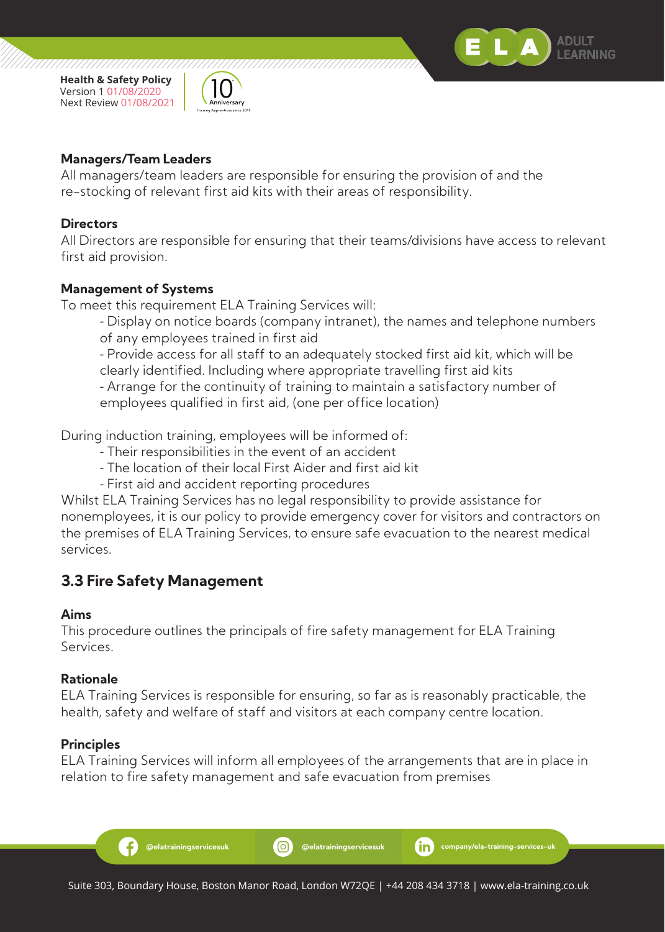



77777777777777

#### **Managers/Team Leaders**

All managers/team leaders are responsible for ensuring the provision of and the re-stocking of relevant first aid kits with their areas of responsibility.

#### **Directors**

All Directors are responsible for ensuring that their teams/divisions have access to relevant first aid provision.

#### **Management of Systems**

To meet this requirement ELA Training Services will:

 - Display on notice boards (company intranet), the names and telephone numbers of any employees trained in first aid

 - Provide access for all staff to an adequately stocked first aid kit, which will be clearly identified. Including where appropriate travelling first aid kits

 - Arrange for the continuity of training to maintain a satisfactory number of employees qualified in first aid, (one per office location)

During induction training, employees will be informed of:

- Their responsibilities in the event of an accident
- The location of their local First Aider and first aid kit
- First aid and accident reporting procedures

Whilst ELA Training Services has no legal responsibility to provide assistance for nonemployees, it is our policy to provide emergency cover for visitors and contractors on the premises of ELA Training Services, to ensure safe evacuation to the nearest medical services.

## **3.3 Fire Safety Management**

#### **Aims**

This procedure outlines the principals of fire safety management for ELA Training Services.

#### **Rationale**

ELA Training Services is responsible for ensuring, so far as is reasonably practicable, the health, safety and welfare of staff and visitors at each company centre location.

#### **Principles**

ELA Training Services will inform all employees of the arrangements that are in place in relation to fire safety management and safe evacuation from premises

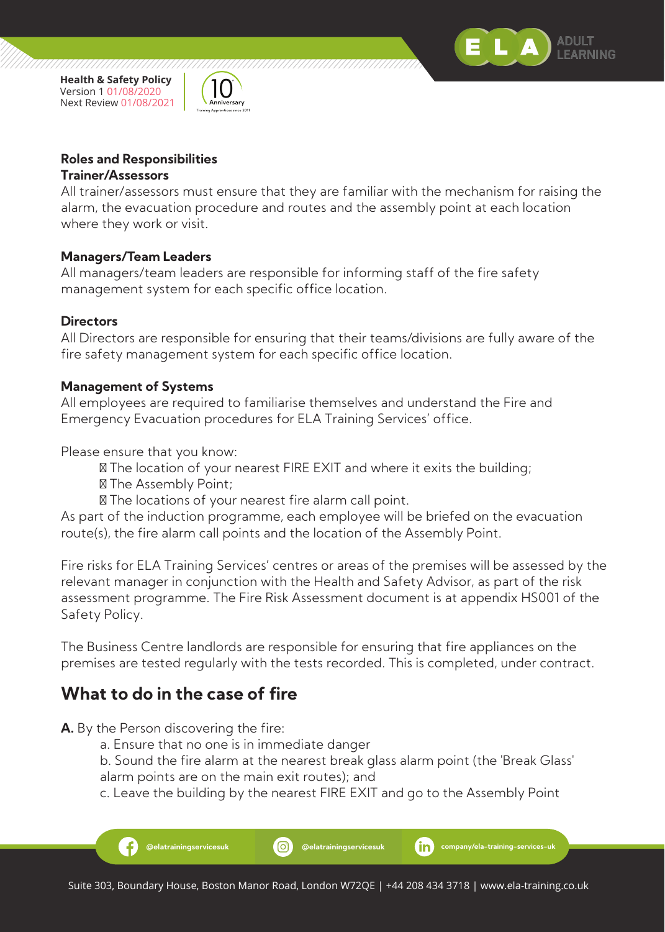



77777777777777

## **Roles and Responsibilities**

#### **Trainer/Assessors**

All trainer/assessors must ensure that they are familiar with the mechanism for raising the alarm, the evacuation procedure and routes and the assembly point at each location where they work or visit.

#### **Managers/Team Leaders**

All managers/team leaders are responsible for informing staff of the fire safety management system for each specific office location.

#### **Directors**

All Directors are responsible for ensuring that their teams/divisions are fully aware of the fire safety management system for each specific office location.

#### **Management of Systems**

All employees are required to familiarise themselves and understand the Fire and Emergency Evacuation procedures for ELA Training Services' office.

Please ensure that you know:

The location of your nearest FIRE EXIT and where it exits the building;

The Assembly Point;

The locations of your nearest fire alarm call point.

As part of the induction programme, each employee will be briefed on the evacuation route(s), the fire alarm call points and the location of the Assembly Point.

Fire risks for ELA Training Services' centres or areas of the premises will be assessed by the relevant manager in conjunction with the Health and Safety Advisor, as part of the risk assessment programme. The Fire Risk Assessment document is at appendix HS001 of the Safety Policy.

The Business Centre landlords are responsible for ensuring that fire appliances on the premises are tested regularly with the tests recorded. This is completed, under contract.

## **What to do in the case of fire**

**A.** By the Person discovering the fire:

- a. Ensure that no one is in immediate danger
- b. Sound the fire alarm at the nearest break glass alarm point (the 'Break Glass' alarm points are on the main exit routes); and
- c. Leave the building by the nearest FIRE EXIT and go to the Assembly Point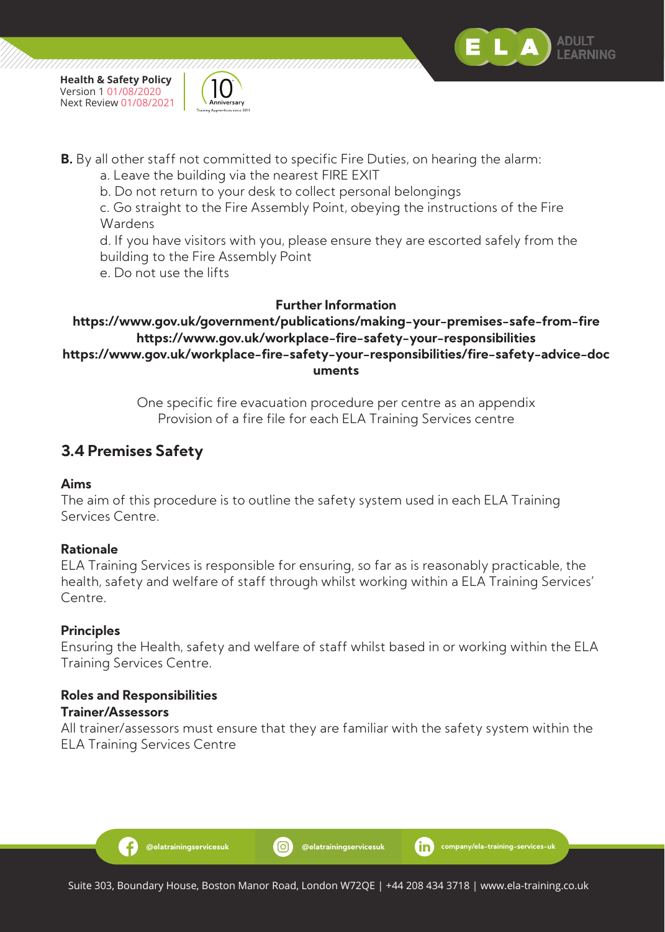



**B.** By all other staff not committed to specific Fire Duties, on hearing the alarm:

a. Leave the building via the nearest FIRE EXIT

b. Do not return to your desk to collect personal belongings

 c. Go straight to the Fire Assembly Point, obeying the instructions of the Fire Wardens

 d. If you have visitors with you, please ensure they are escorted safely from the building to the Fire Assembly Point

e. Do not use the lifts

#### **Further Information**

#### **https://www.gov.uk/government/publications/making-your-premises-safe-from-fire https://www.gov.uk/workplace-fire-safety-your-responsibilities https://www.gov.uk/workplace-fire-safety-your-responsibilities/fire-safety-advice-doc uments**

One specific fire evacuation procedure per centre as an appendix Provision of a fire file for each ELA Training Services centre

## **3.4 Premises Safety**

#### **Aims**

The aim of this procedure is to outline the safety system used in each ELA Training Services Centre.

#### **Rationale**

ELA Training Services is responsible for ensuring, so far as is reasonably practicable, the health, safety and welfare of staff through whilst working within a ELA Training Services' Centre.

#### **Principles**

Ensuring the Health, safety and welfare of staff whilst based in or working within the ELA Training Services Centre.

# **Roles and Responsibilities**

#### **Trainer/Assessors**

Ð

All trainer/assessors must ensure that they are familiar with the safety system within the ELA Training Services Centre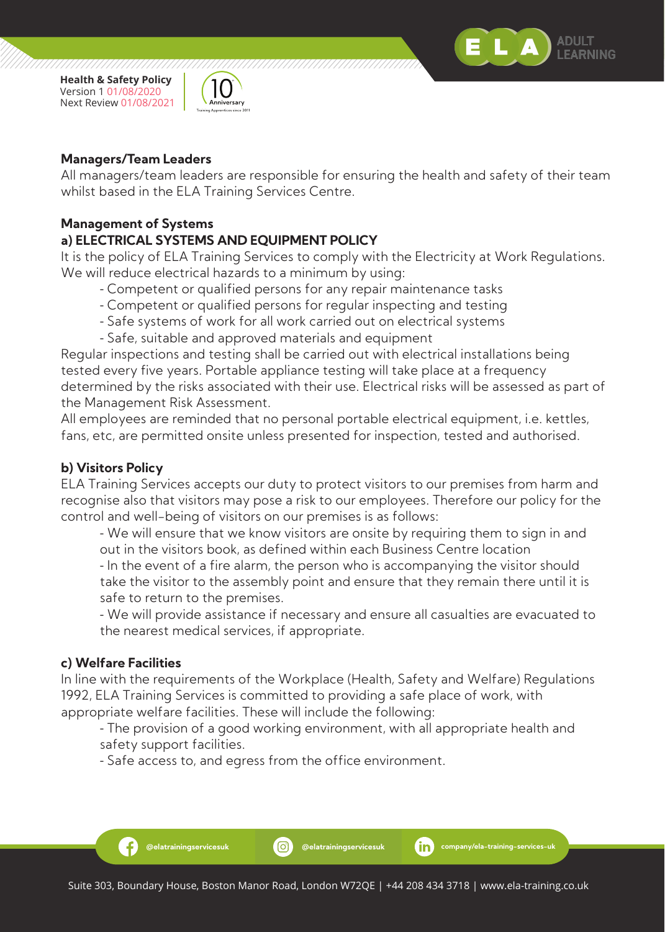



#### **Managers/Team Leaders**

All managers/team leaders are responsible for ensuring the health and safety of their team whilst based in the ELA Training Services Centre.

#### **Management of Systems**

#### **a) ELECTRICAL SYSTEMS AND EQUIPMENT POLICY**

It is the policy of ELA Training Services to comply with the Electricity at Work Regulations. We will reduce electrical hazards to a minimum by using:

- Competent or qualified persons for any repair maintenance tasks
- Competent or qualified persons for regular inspecting and testing
- Safe systems of work for all work carried out on electrical systems
- Safe, suitable and approved materials and equipment

Regular inspections and testing shall be carried out with electrical installations being tested every five years. Portable appliance testing will take place at a frequency determined by the risks associated with their use. Electrical risks will be assessed as part of the Management Risk Assessment.

All employees are reminded that no personal portable electrical equipment, i.e. kettles, fans, etc, are permitted onsite unless presented for inspection, tested and authorised.

#### **b) Visitors Policy**

ELA Training Services accepts our duty to protect visitors to our premises from harm and recognise also that visitors may pose a risk to our employees. Therefore our policy for the control and well-being of visitors on our premises is as follows:

 - We will ensure that we know visitors are onsite by requiring them to sign in and out in the visitors book, as defined within each Business Centre location

 - In the event of a fire alarm, the person who is accompanying the visitor should take the visitor to the assembly point and ensure that they remain there until it is safe to return to the premises.

 - We will provide assistance if necessary and ensure all casualties are evacuated to the nearest medical services, if appropriate.

#### **c) Welfare Facilities**

Ŧ

In line with the requirements of the Workplace (Health, Safety and Welfare) Regulations 1992, ELA Training Services is committed to providing a safe place of work, with appropriate welfare facilities. These will include the following:

 - The provision of a good working environment, with all appropriate health and safety support facilities.

- Safe access to, and egress from the office environment.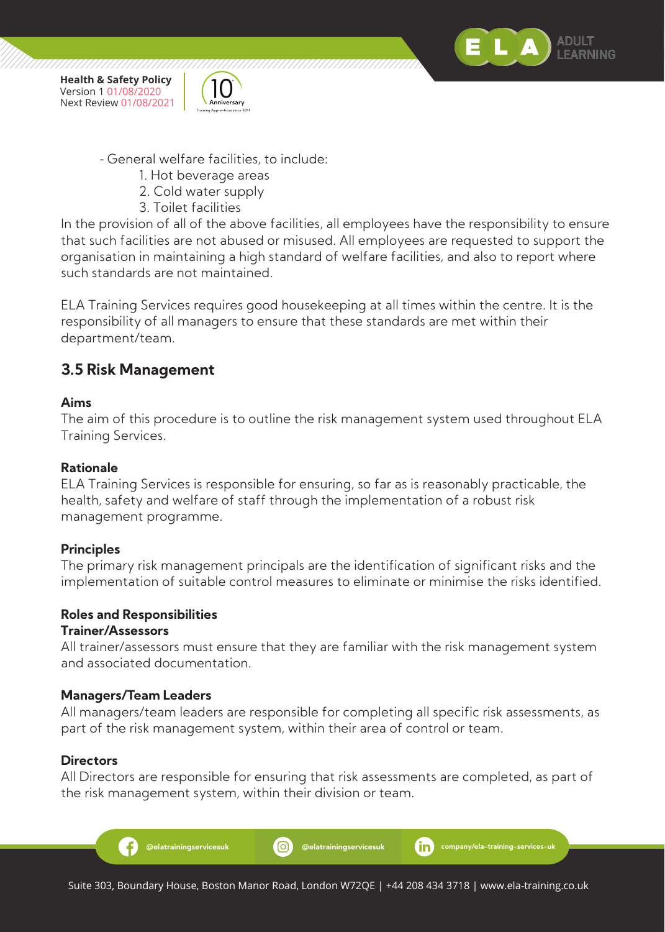





- 1. Hot beverage areas
- 2. Cold water supply
- 3. Toilet facilities

In the provision of all of the above facilities, all employees have the responsibility to ensure that such facilities are not abused or misused. All employees are requested to support the organisation in maintaining a high standard of welfare facilities, and also to report where such standards are not maintained.

ELA Training Services requires good housekeeping at all times within the centre. It is the responsibility of all managers to ensure that these standards are met within their department/team.

## **3.5 Risk Management**

#### **Aims**

The aim of this procedure is to outline the risk management system used throughout ELA Training Services.

#### **Rationale**

ELA Training Services is responsible for ensuring, so far as is reasonably practicable, the health, safety and welfare of staff through the implementation of a robust risk management programme.

#### **Principles**

The primary risk management principals are the identification of significant risks and the implementation of suitable control measures to eliminate or minimise the risks identified.

# **Roles and Responsibilities**

#### **Trainer/Assessors**

All trainer/assessors must ensure that they are familiar with the risk management system and associated documentation.

#### **Managers/Team Leaders**

All managers/team leaders are responsible for completing all specific risk assessments, as part of the risk management system, within their area of control or team.

#### **Directors**

All Directors are responsible for ensuring that risk assessments are completed, as part of the risk management system, within their division or team.

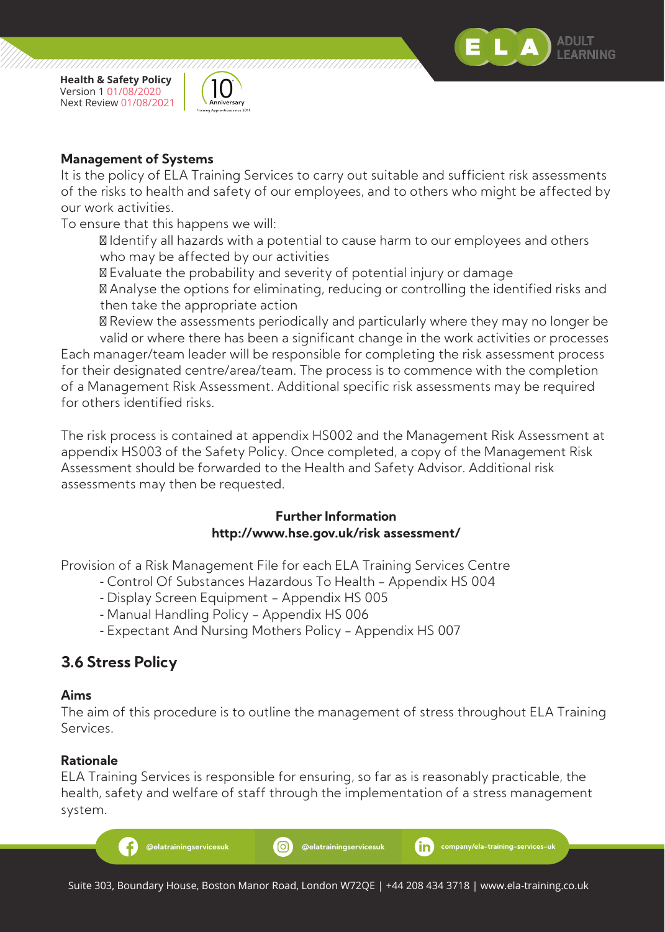



#### **Management of Systems**

It is the policy of ELA Training Services to carry out suitable and sufficient risk assessments of the risks to health and safety of our employees, and to others who might be affected by our work activities.

To ensure that this happens we will:

 Identify all hazards with a potential to cause harm to our employees and others who may be affected by our activities

Evaluate the probability and severity of potential injury or damage

 Analyse the options for eliminating, reducing or controlling the identified risks and then take the appropriate action

 Review the assessments periodically and particularly where they may no longer be valid or where there has been a significant change in the work activities or processes Each manager/team leader will be responsible for completing the risk assessment process for their designated centre/area/team. The process is to commence with the completion of a Management Risk Assessment. Additional specific risk assessments may be required for others identified risks.

The risk process is contained at appendix HS002 and the Management Risk Assessment at appendix HS003 of the Safety Policy. Once completed, a copy of the Management Risk Assessment should be forwarded to the Health and Safety Advisor. Additional risk assessments may then be requested.

#### **Further Information http://www.hse.gov.uk/risk assessment/**

Provision of a Risk Management File for each ELA Training Services Centre

- Control Of Substances Hazardous To Health Appendix HS 004
- Display Screen Equipment Appendix HS 005
- Manual Handling Policy Appendix HS 006
- Expectant And Nursing Mothers Policy Appendix HS 007

## **3.6 Stress Policy**

#### **Aims**

The aim of this procedure is to outline the management of stress throughout ELA Training Services.

#### **Rationale**

ELA Training Services is responsible for ensuring, so far as is reasonably practicable, the health, safety and welfare of staff through the implementation of a stress management system.

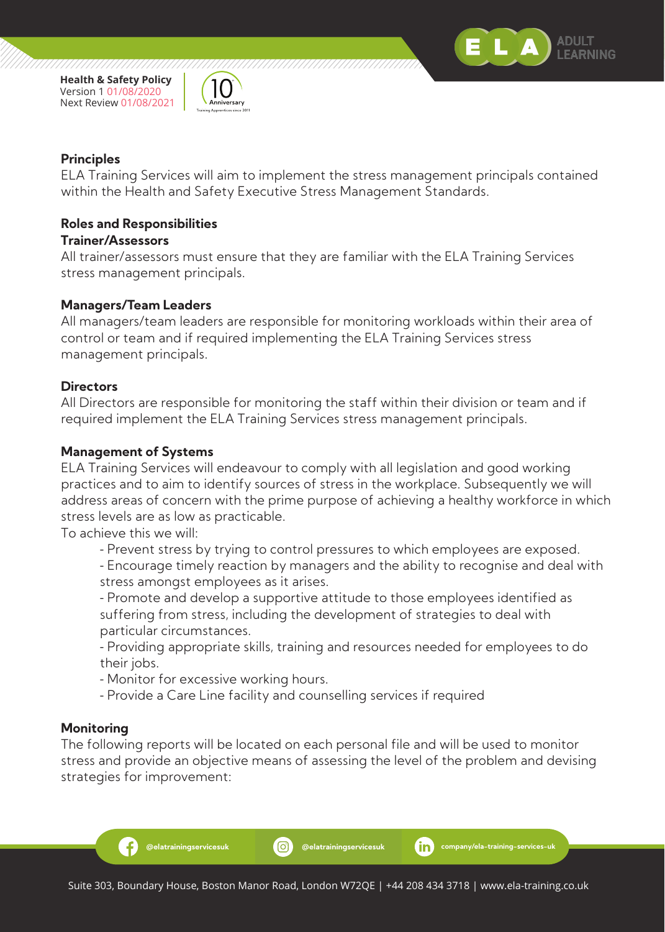



#### **Principles**

ELA Training Services will aim to implement the stress management principals contained within the Health and Safety Executive Stress Management Standards.

#### **Roles and Responsibilities**

#### **Trainer/Assessors**

All trainer/assessors must ensure that they are familiar with the ELA Training Services stress management principals.

#### **Managers/Team Leaders**

All managers/team leaders are responsible for monitoring workloads within their area of control or team and if required implementing the ELA Training Services stress management principals.

#### **Directors**

All Directors are responsible for monitoring the staff within their division or team and if required implement the ELA Training Services stress management principals.

#### **Management of Systems**

ELA Training Services will endeavour to comply with all legislation and good working practices and to aim to identify sources of stress in the workplace. Subsequently we will address areas of concern with the prime purpose of achieving a healthy workforce in which stress levels are as low as practicable.

To achieve this we will:

- Prevent stress by trying to control pressures to which employees are exposed.
- Encourage timely reaction by managers and the ability to recognise and deal with stress amongst employees as it arises.
- Promote and develop a supportive attitude to those employees identified as suffering from stress, including the development of strategies to deal with particular circumstances.
- Providing appropriate skills, training and resources needed for employees to do their jobs.
- Monitor for excessive working hours.
- Provide a Care Line facility and counselling services if required

#### **Monitoring**

Æ.

The following reports will be located on each personal file and will be used to monitor stress and provide an objective means of assessing the level of the problem and devising strategies for improvement: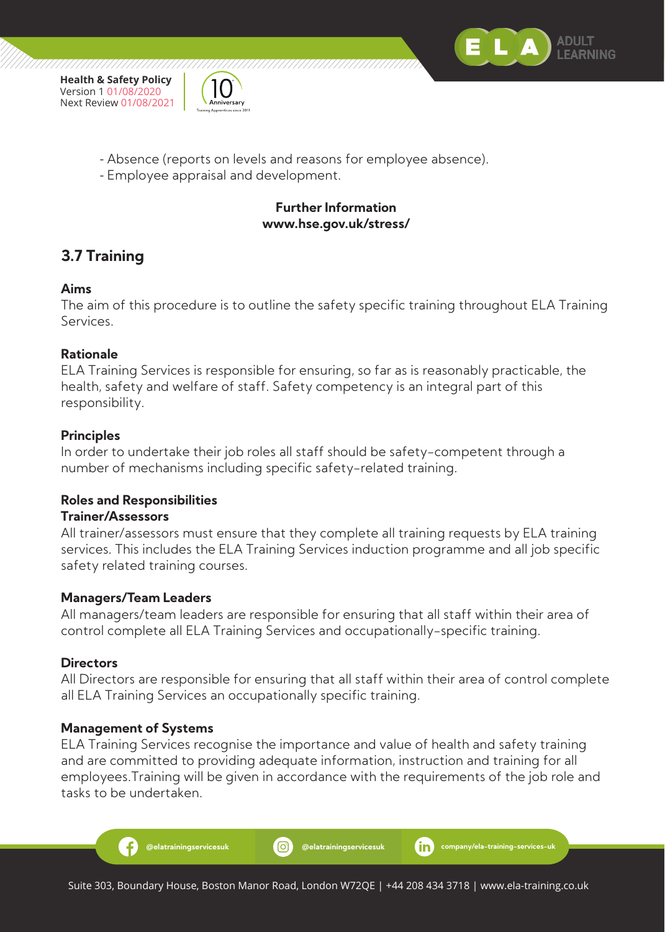



- Absence (reports on levels and reasons for employee absence).
- Employee appraisal and development.

#### **Further Information www.hse.gov.uk/stress/**

## **3.7 Training**

#### **Aims**

The aim of this procedure is to outline the safety specific training throughout ELA Training Services.

#### **Rationale**

ELA Training Services is responsible for ensuring, so far as is reasonably practicable, the health, safety and welfare of staff. Safety competency is an integral part of this responsibility.

#### **Principles**

In order to undertake their job roles all staff should be safety-competent through a number of mechanisms including specific safety-related training.

#### **Roles and Responsibilities**

#### **Trainer/Assessors**

All trainer/assessors must ensure that they complete all training requests by ELA training services. This includes the ELA Training Services induction programme and all job specific safety related training courses.

#### **Managers/Team Leaders**

All managers/team leaders are responsible for ensuring that all staff within their area of control complete all ELA Training Services and occupationally-specific training.

#### **Directors**

All Directors are responsible for ensuring that all staff within their area of control complete all ELA Training Services an occupationally specific training.

#### **Management of Systems**

Æ

ELA Training Services recognise the importance and value of health and safety training and are committed to providing adequate information, instruction and training for all employees.Training will be given in accordance with the requirements of the job role and tasks to be undertaken.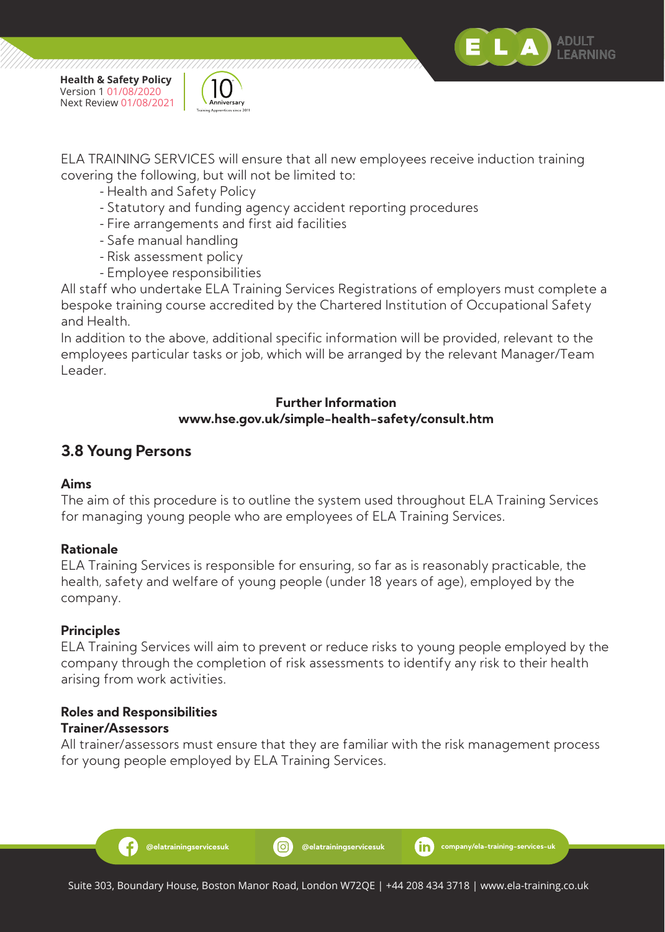



ELA TRAINING SERVICES will ensure that all new employees receive induction training covering the following, but will not be limited to:

- Health and Safety Policy
- Statutory and funding agency accident reporting procedures
- Fire arrangements and first aid facilities
- Safe manual handling
- Risk assessment policy
- Employee responsibilities

All staff who undertake ELA Training Services Registrations of employers must complete a bespoke training course accredited by the Chartered Institution of Occupational Safety and Health.

In addition to the above, additional specific information will be provided, relevant to the employees particular tasks or job, which will be arranged by the relevant Manager/Team Leader.

#### **Further Information www.hse.gov.uk/simple-health-safety/consult.htm**

## **3.8 Young Persons**

#### **Aims**

The aim of this procedure is to outline the system used throughout ELA Training Services for managing young people who are employees of ELA Training Services.

#### **Rationale**

ELA Training Services is responsible for ensuring, so far as is reasonably practicable, the health, safety and welfare of young people (under 18 years of age), employed by the company.

#### **Principles**

ELA Training Services will aim to prevent or reduce risks to young people employed by the company through the completion of risk assessments to identify any risk to their health arising from work activities.

#### **Roles and Responsibilities Trainer/Assessors**

Ð

All trainer/assessors must ensure that they are familiar with the risk management process for young people employed by ELA Training Services.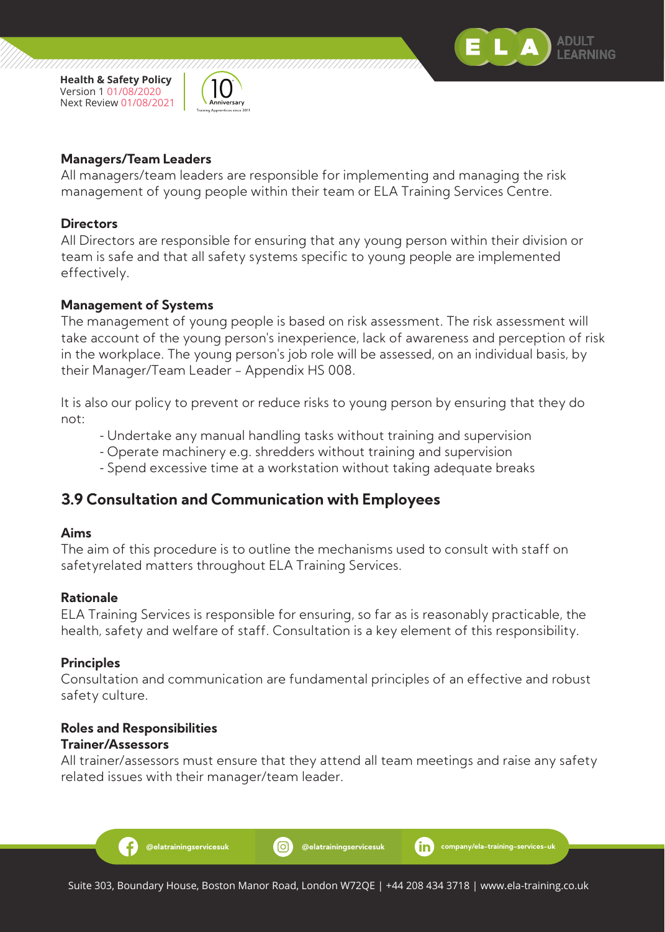



#### **Managers/Team Leaders**

All managers/team leaders are responsible for implementing and managing the risk management of young people within their team or ELA Training Services Centre.

#### **Directors**

All Directors are responsible for ensuring that any young person within their division or team is safe and that all safety systems specific to young people are implemented effectively.

#### **Management of Systems**

The management of young people is based on risk assessment. The risk assessment will take account of the young person's inexperience, lack of awareness and perception of risk in the workplace. The young person's job role will be assessed, on an individual basis, by their Manager/Team Leader - Appendix HS 008.

It is also our policy to prevent or reduce risks to young person by ensuring that they do not:

- Undertake any manual handling tasks without training and supervision
- Operate machinery e.g. shredders without training and supervision
- Spend excessive time at a workstation without taking adequate breaks

#### **3.9 Consultation and Communication with Employees**

#### **Aims**

The aim of this procedure is to outline the mechanisms used to consult with staff on safetyrelated matters throughout ELA Training Services.

#### **Rationale**

ELA Training Services is responsible for ensuring, so far as is reasonably practicable, the health, safety and welfare of staff. Consultation is a key element of this responsibility.

#### **Principles**

Consultation and communication are fundamental principles of an effective and robust safety culture.

#### **Roles and Responsibilities Trainer/Assessors**

Ð

All trainer/assessors must ensure that they attend all team meetings and raise any safety related issues with their manager/team leader.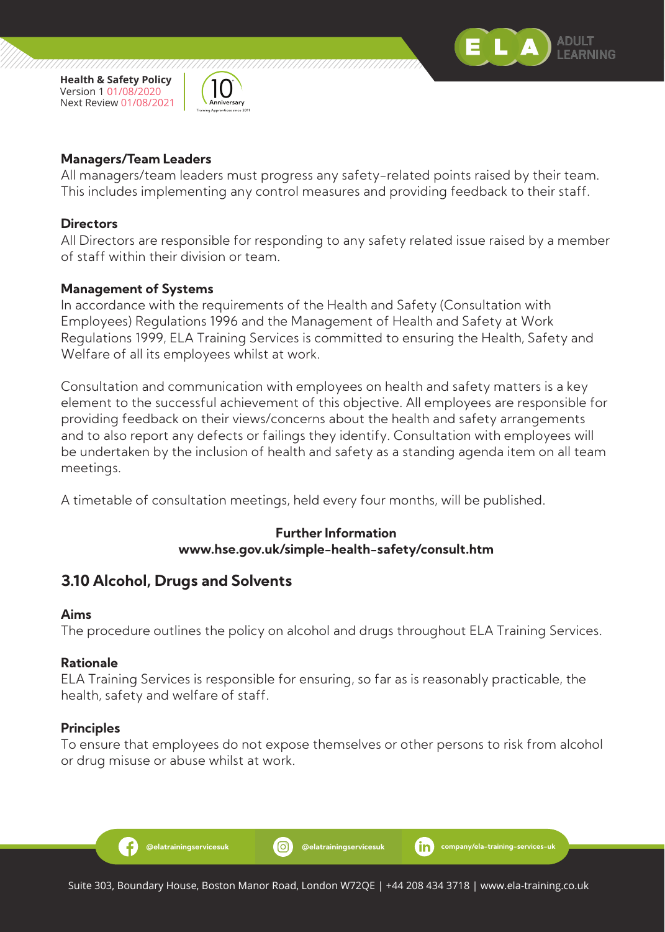



/////////////

#### **Managers/Team Leaders**

All managers/team leaders must progress any safety-related points raised by their team. This includes implementing any control measures and providing feedback to their staff.

#### **Directors**

All Directors are responsible for responding to any safety related issue raised by a member of staff within their division or team.

#### **Management of Systems**

In accordance with the requirements of the Health and Safety (Consultation with Employees) Regulations 1996 and the Management of Health and Safety at Work Regulations 1999, ELA Training Services is committed to ensuring the Health, Safety and Welfare of all its employees whilst at work.

Consultation and communication with employees on health and safety matters is a key element to the successful achievement of this objective. All employees are responsible for providing feedback on their views/concerns about the health and safety arrangements and to also report any defects or failings they identify. Consultation with employees will be undertaken by the inclusion of health and safety as a standing agenda item on all team meetings.

A timetable of consultation meetings, held every four months, will be published.

#### **Further Information www.hse.gov.uk/simple-health-safety/consult.htm**

#### **3.10 Alcohol, Drugs and Solvents**

#### **Aims**

The procedure outlines the policy on alcohol and drugs throughout ELA Training Services.

#### **Rationale**

ELA Training Services is responsible for ensuring, so far as is reasonably practicable, the health, safety and welfare of staff.

#### **Principles**

Ð

To ensure that employees do not expose themselves or other persons to risk from alcohol or drug misuse or abuse whilst at work.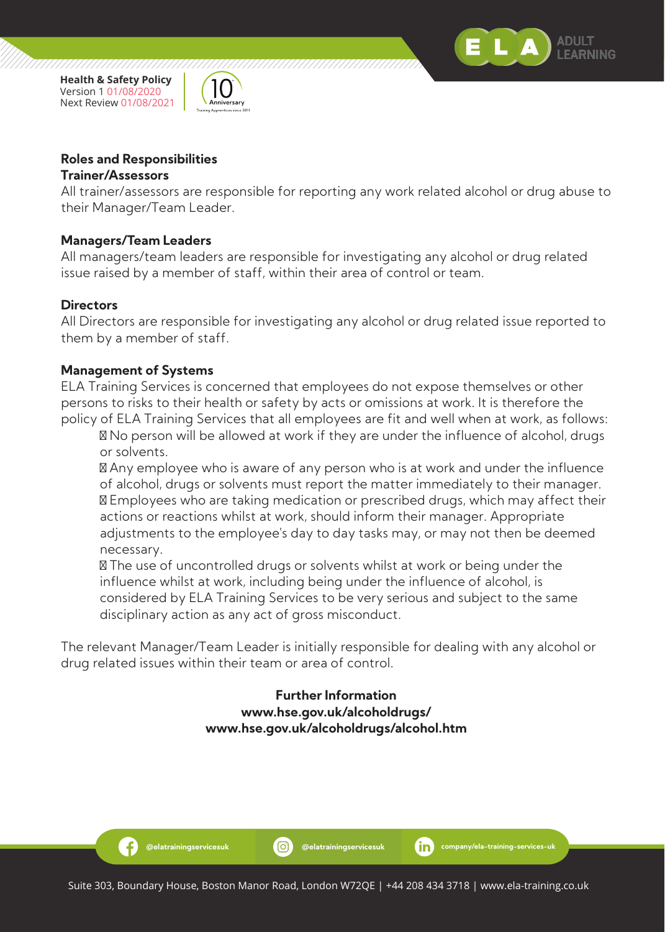



//////////////

#### **Roles and Responsibilities**

#### **Trainer/Assessors**

All trainer/assessors are responsible for reporting any work related alcohol or drug abuse to their Manager/Team Leader.

#### **Managers/Team Leaders**

All managers/team leaders are responsible for investigating any alcohol or drug related issue raised by a member of staff, within their area of control or team.

#### **Directors**

All Directors are responsible for investigating any alcohol or drug related issue reported to them by a member of staff.

#### **Management of Systems**

Ð

ELA Training Services is concerned that employees do not expose themselves or other persons to risks to their health or safety by acts or omissions at work. It is therefore the policy of ELA Training Services that all employees are fit and well when at work, as follows:

 No person will be allowed at work if they are under the influence of alcohol, drugs or solvents.

 Any employee who is aware of any person who is at work and under the influence of alcohol, drugs or solvents must report the matter immediately to their manager.

 Employees who are taking medication or prescribed drugs, which may affect their actions or reactions whilst at work, should inform their manager. Appropriate adjustments to the employee's day to day tasks may, or may not then be deemed necessary.

 The use of uncontrolled drugs or solvents whilst at work or being under the influence whilst at work, including being under the influence of alcohol, is considered by ELA Training Services to be very serious and subject to the same disciplinary action as any act of gross misconduct.

The relevant Manager/Team Leader is initially responsible for dealing with any alcohol or drug related issues within their team or area of control.

#### **Further Information www.hse.gov.uk/alcoholdrugs/ www.hse.gov.uk/alcoholdrugs/alcohol.htm**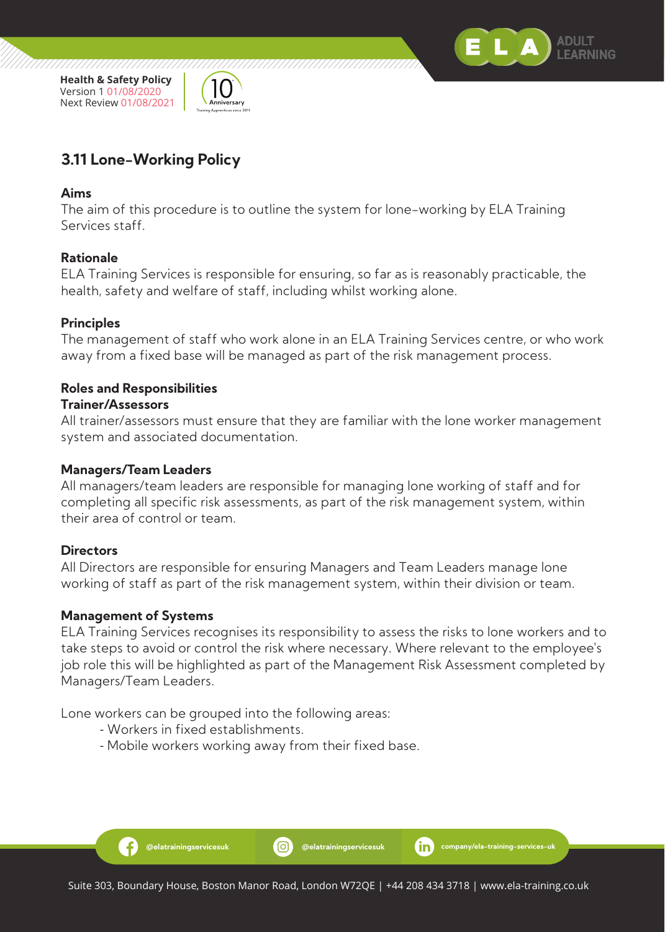



## **3.11 Lone-Working Policy**

#### **Aims**

The aim of this procedure is to outline the system for lone-working by ELA Training Services staff.

#### **Rationale**

ELA Training Services is responsible for ensuring, so far as is reasonably practicable, the health, safety and welfare of staff, including whilst working alone.

#### **Principles**

The management of staff who work alone in an ELA Training Services centre, or who work away from a fixed base will be managed as part of the risk management process.

#### **Roles and Responsibilities**

#### **Trainer/Assessors**

All trainer/assessors must ensure that they are familiar with the lone worker management system and associated documentation.

#### **Managers/Team Leaders**

All managers/team leaders are responsible for managing lone working of staff and for completing all specific risk assessments, as part of the risk management system, within their area of control or team.

#### **Directors**

All Directors are responsible for ensuring Managers and Team Leaders manage lone working of staff as part of the risk management system, within their division or team.

#### **Management of Systems**

Ð

ELA Training Services recognises its responsibility to assess the risks to lone workers and to take steps to avoid or control the risk where necessary. Where relevant to the employee's job role this will be highlighted as part of the Management Risk Assessment completed by Managers/Team Leaders.

Lone workers can be grouped into the following areas:

- Workers in fixed establishments.
- Mobile workers working away from their fixed base.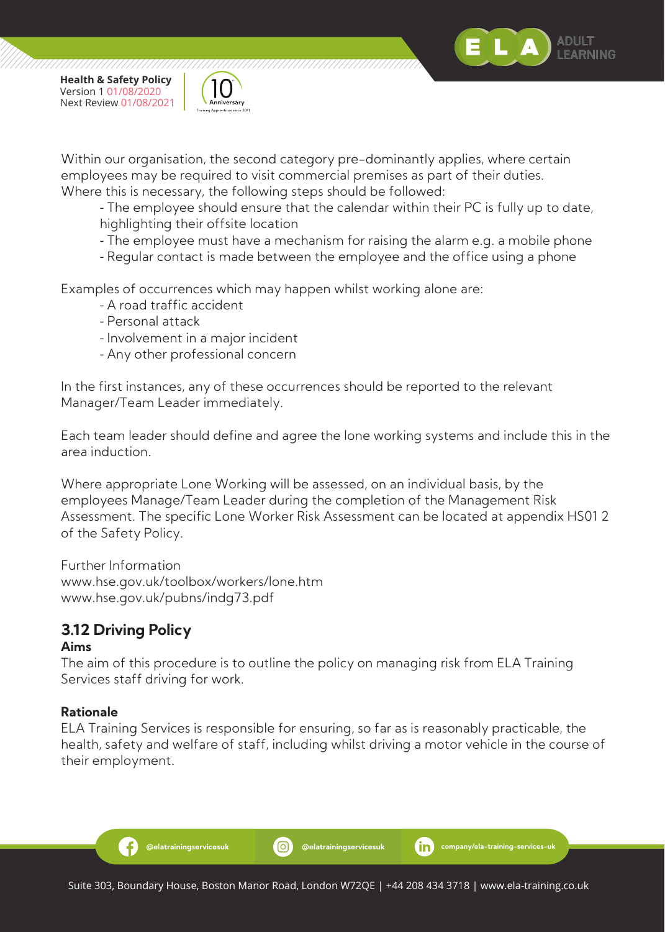



77777777777777

Within our organisation, the second category pre-dominantly applies, where certain employees may be required to visit commercial premises as part of their duties. Where this is necessary, the following steps should be followed:

 - The employee should ensure that the calendar within their PC is fully up to date, highlighting their offsite location

- The employee must have a mechanism for raising the alarm e.g. a mobile phone
- Regular contact is made between the employee and the office using a phone

Examples of occurrences which may happen whilst working alone are:

- A road traffic accident
- Personal attack
- Involvement in a major incident
- Any other professional concern

In the first instances, any of these occurrences should be reported to the relevant Manager/Team Leader immediately.

Each team leader should define and agree the lone working systems and include this in the area induction.

Where appropriate Lone Working will be assessed, on an individual basis, by the employees Manage/Team Leader during the completion of the Management Risk Assessment. The specific Lone Worker Risk Assessment can be located at appendix HS01 2 of the Safety Policy.

Further Information www.hse.gov.uk/toolbox/workers/lone.htm www.hse.gov.uk/pubns/indg73.pdf

## **3.12 Driving Policy**

Ŧ

#### **Aims**

The aim of this procedure is to outline the policy on managing risk from ELA Training Services staff driving for work.

#### **Rationale**

ELA Training Services is responsible for ensuring, so far as is reasonably practicable, the health, safety and welfare of staff, including whilst driving a motor vehicle in the course of their employment.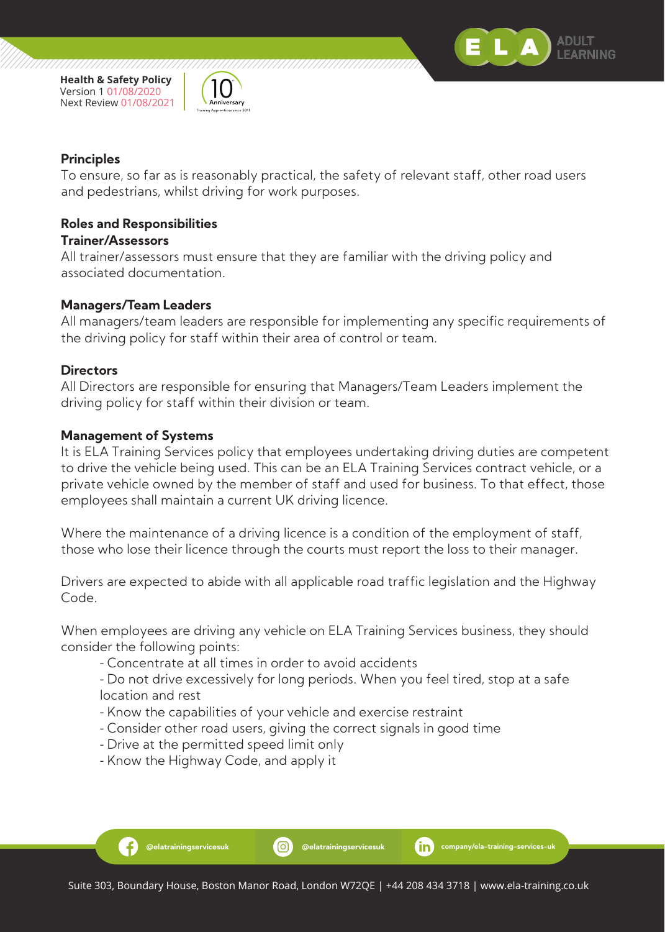



#### **Principles**

To ensure, so far as is reasonably practical, the safety of relevant staff, other road users and pedestrians, whilst driving for work purposes.

#### **Roles and Responsibilities**

#### **Trainer/Assessors**

All trainer/assessors must ensure that they are familiar with the driving policy and associated documentation.

#### **Managers/Team Leaders**

All managers/team leaders are responsible for implementing any specific requirements of the driving policy for staff within their area of control or team.

#### **Directors**

All Directors are responsible for ensuring that Managers/Team Leaders implement the driving policy for staff within their division or team.

#### **Management of Systems**

Ð

It is ELA Training Services policy that employees undertaking driving duties are competent to drive the vehicle being used. This can be an ELA Training Services contract vehicle, or a private vehicle owned by the member of staff and used for business. To that effect, those employees shall maintain a current UK driving licence.

Where the maintenance of a driving licence is a condition of the employment of staff, those who lose their licence through the courts must report the loss to their manager.

Drivers are expected to abide with all applicable road traffic legislation and the Highway Code.

When employees are driving any vehicle on ELA Training Services business, they should consider the following points:

- Concentrate at all times in order to avoid accidents

 - Do not drive excessively for long periods. When you feel tired, stop at a safe location and rest

- Know the capabilities of your vehicle and exercise restraint
- Consider other road users, giving the correct signals in good time
- Drive at the permitted speed limit only
- Know the Highway Code, and apply it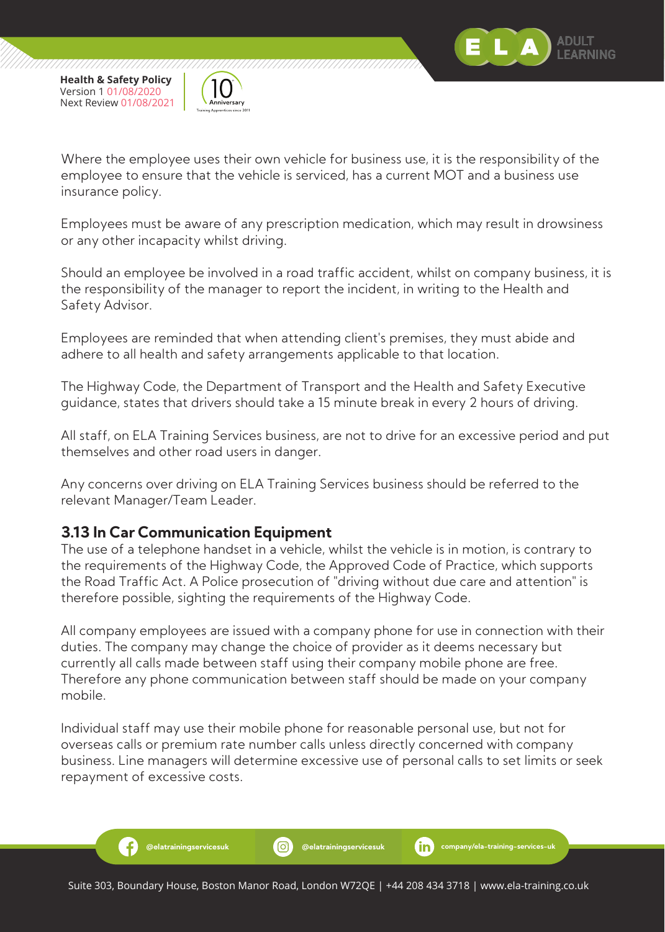



Where the employee uses their own vehicle for business use, it is the responsibility of the employee to ensure that the vehicle is serviced, has a current MOT and a business use insurance policy.

Employees must be aware of any prescription medication, which may result in drowsiness or any other incapacity whilst driving.

Should an employee be involved in a road traffic accident, whilst on company business, it is the responsibility of the manager to report the incident, in writing to the Health and Safety Advisor.

Employees are reminded that when attending client's premises, they must abide and adhere to all health and safety arrangements applicable to that location.

The Highway Code, the Department of Transport and the Health and Safety Executive guidance, states that drivers should take a 15 minute break in every 2 hours of driving.

All staff, on ELA Training Services business, are not to drive for an excessive period and put themselves and other road users in danger.

Any concerns over driving on ELA Training Services business should be referred to the relevant Manager/Team Leader.

#### **3.13 In Car Communication Equipment**

Ŧ

The use of a telephone handset in a vehicle, whilst the vehicle is in motion, is contrary to the requirements of the Highway Code, the Approved Code of Practice, which supports the Road Traffic Act. A Police prosecution of "driving without due care and attention" is therefore possible, sighting the requirements of the Highway Code.

All company employees are issued with a company phone for use in connection with their duties. The company may change the choice of provider as it deems necessary but currently all calls made between staff using their company mobile phone are free. Therefore any phone communication between staff should be made on your company mobile.

Individual staff may use their mobile phone for reasonable personal use, but not for overseas calls or premium rate number calls unless directly concerned with company business. Line managers will determine excessive use of personal calls to set limits or seek repayment of excessive costs.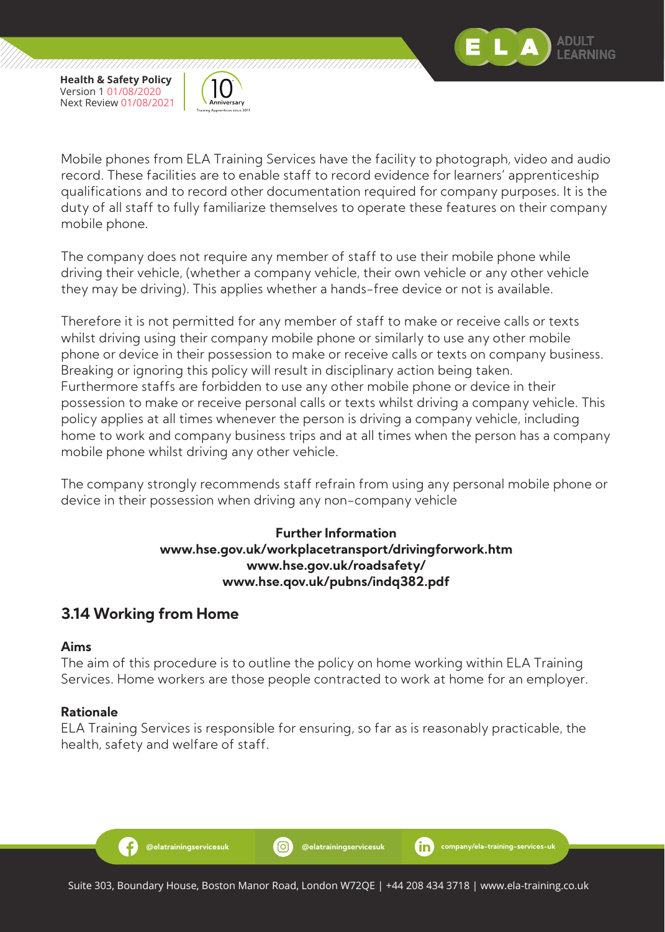

//////////////



Mobile phones from ELA Training Services have the facility to photograph, video and audio record. These facilities are to enable staff to record evidence for learners' apprenticeship qualifications and to record other documentation required for company purposes. It is the duty of all staff to fully familiarize themselves to operate these features on their company mobile phone.

The company does not require any member of staff to use their mobile phone while driving their vehicle, (whether a company vehicle, their own vehicle or any other vehicle they may be driving). This applies whether a hands-free device or not is available.

Therefore it is not permitted for any member of staff to make or receive calls or texts whilst driving using their company mobile phone or similarly to use any other mobile phone or device in their possession to make or receive calls or texts on company business. Breaking or ignoring this policy will result in disciplinary action being taken. Furthermore staffs are forbidden to use any other mobile phone or device in their possession to make or receive personal calls or texts whilst driving a company vehicle. This policy applies at all times whenever the person is driving a company vehicle, including home to work and company business trips and at all times when the person has a company mobile phone whilst driving any other vehicle.

The company strongly recommends staff refrain from using any personal mobile phone or device in their possession when driving any non-company vehicle

#### **Further Information www.hse.gov.uk/workplacetransport/drivingforwork.htm www.hse.gov.uk/roadsafety/ www.hse.qov.uk/pubns/indq382.pdf**

## **3.14 Working from Home**

#### **Aims**

The aim of this procedure is to outline the policy on home working within ELA Training Services. Home workers are those people contracted to work at home for an employer.

#### **Rationale**

Ŧ

ELA Training Services is responsible for ensuring, so far as is reasonably practicable, the health, safety and welfare of staff.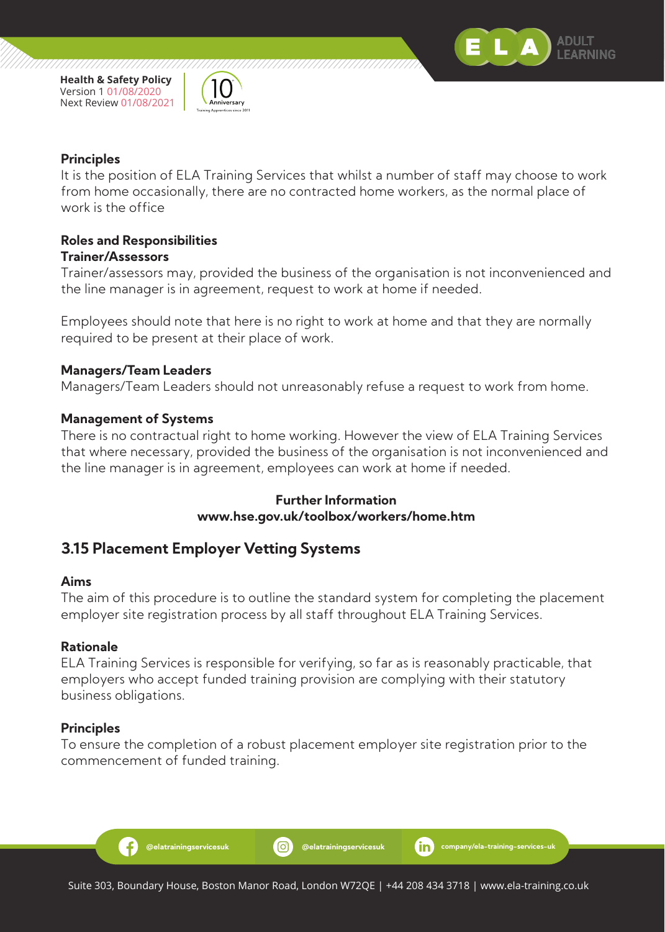



#### **Principles**

It is the position of ELA Training Services that whilst a number of staff may choose to work from home occasionally, there are no contracted home workers, as the normal place of work is the office

#### **Roles and Responsibilities Trainer/Assessors**

Trainer/assessors may, provided the business of the organisation is not inconvenienced and the line manager is in agreement, request to work at home if needed.

Employees should note that here is no right to work at home and that they are normally required to be present at their place of work.

#### **Managers/Team Leaders**

Managers/Team Leaders should not unreasonably refuse a request to work from home.

#### **Management of Systems**

There is no contractual right to home working. However the view of ELA Training Services that where necessary, provided the business of the organisation is not inconvenienced and the line manager is in agreement, employees can work at home if needed.

#### **Further Information www.hse.gov.uk/toolbox/workers/home.htm**

#### **3.15 Placement Employer Vetting Systems**

#### **Aims**

The aim of this procedure is to outline the standard system for completing the placement employer site registration process by all staff throughout ELA Training Services.

#### **Rationale**

ELA Training Services is responsible for verifying, so far as is reasonably practicable, that employers who accept funded training provision are complying with their statutory business obligations.

#### **Principles**

Ð

To ensure the completion of a robust placement employer site registration prior to the commencement of funded training.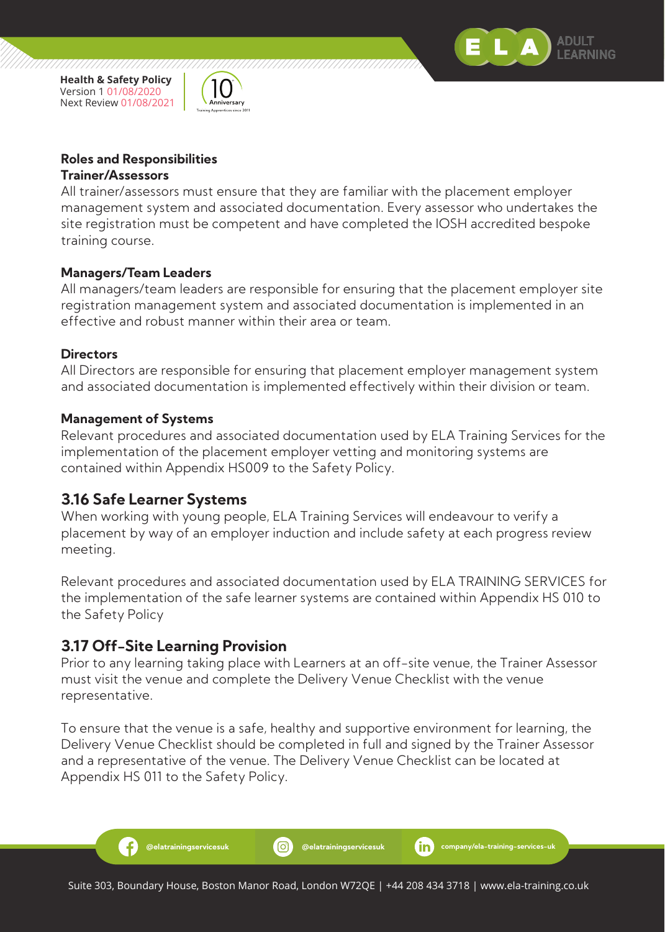



/////////////

#### **Roles and Responsibilities Trainer/Assessors**

All trainer/assessors must ensure that they are familiar with the placement employer management system and associated documentation. Every assessor who undertakes the site registration must be competent and have completed the IOSH accredited bespoke training course.

#### **Managers/Team Leaders**

All managers/team leaders are responsible for ensuring that the placement employer site registration management system and associated documentation is implemented in an effective and robust manner within their area or team.

#### **Directors**

All Directors are responsible for ensuring that placement employer management system and associated documentation is implemented effectively within their division or team.

#### **Management of Systems**

Relevant procedures and associated documentation used by ELA Training Services for the implementation of the placement employer vetting and monitoring systems are contained within Appendix HS009 to the Safety Policy.

#### **3.16 Safe Learner Systems**

When working with young people, ELA Training Services will endeavour to verify a placement by way of an employer induction and include safety at each progress review meeting.

Relevant procedures and associated documentation used by ELA TRAINING SERVICES for the implementation of the safe learner systems are contained within Appendix HS 010 to the Safety Policy

#### **3.17 Off-Site Learning Provision**

Æ

Prior to any learning taking place with Learners at an off-site venue, the Trainer Assessor must visit the venue and complete the Delivery Venue Checklist with the venue representative.

To ensure that the venue is a safe, healthy and supportive environment for learning, the Delivery Venue Checklist should be completed in full and signed by the Trainer Assessor and a representative of the venue. The Delivery Venue Checklist can be located at Appendix HS 011 to the Safety Policy.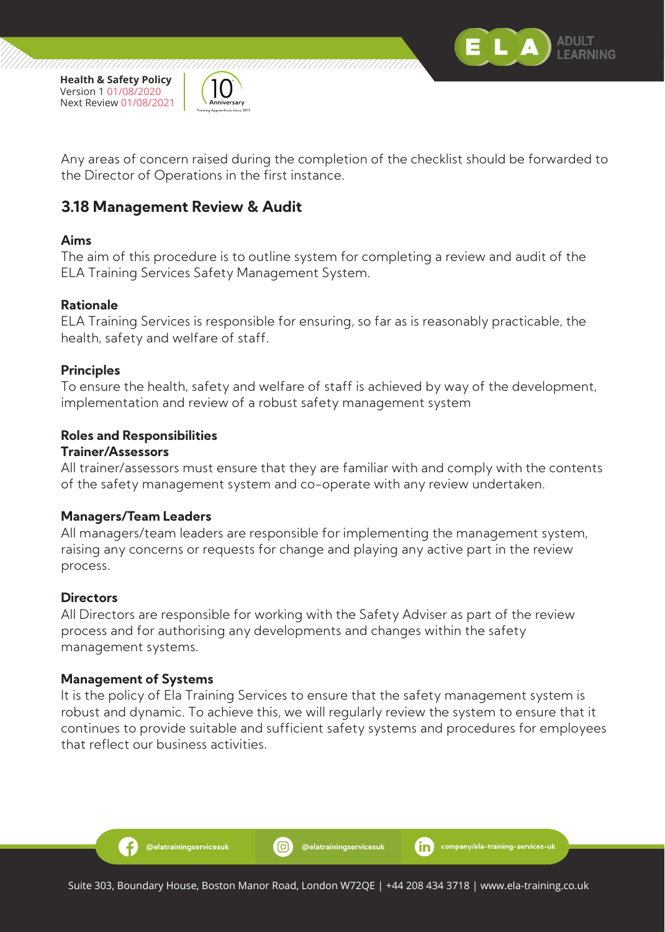



Any areas of concern raised during the completion of the checklist should be forwarded to the Director of Operations in the first instance.

## **3.18 Management Review & Audit**

#### **Aims**

The aim of this procedure is to outline system for completing a review and audit of the ELA Training Services Safety Management System.

#### **Rationale**

ELA Training Services is responsible for ensuring, so far as is reasonably practicable, the health, safety and welfare of staff.

#### **Principles**

To ensure the health, safety and welfare of staff is achieved by way of the development, implementation and review of a robust safety management system

#### **Roles and Responsibilities**

#### **Trainer/Assessors**

All trainer/assessors must ensure that they are familiar with and comply with the contents of the safety management system and co-operate with any review undertaken.

#### **Managers/Team Leaders**

All managers/team leaders are responsible for implementing the management system, raising any concerns or requests for change and playing any active part in the review process.

#### **Directors**

All Directors are responsible for working with the Safety Adviser as part of the review process and for authorising any developments and changes within the safety management systems.

#### **Management of Systems**

Ð

It is the policy of Ela Training Services to ensure that the safety management system is robust and dynamic. To achieve this, we will regularly review the system to ensure that it continues to provide suitable and sufficient safety systems and procedures for employees that reflect our business activities.